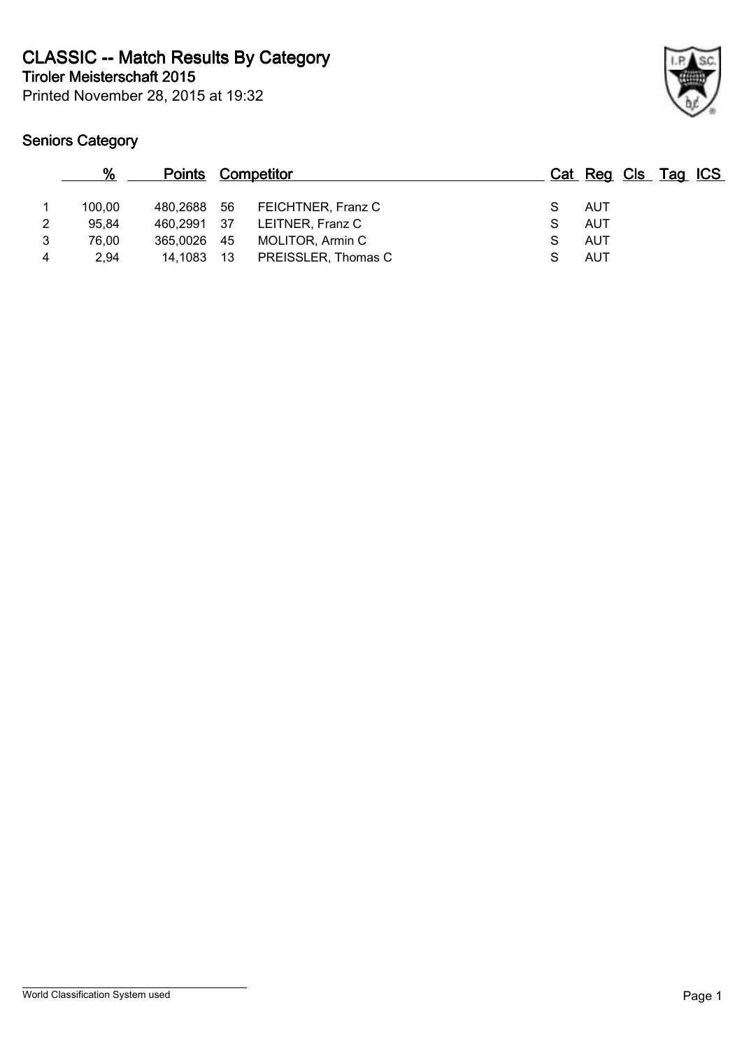**Tiroler Meisterschaft 2015 CLASSIC -- Match Results By Category**

Printed November 28, 2015 at 19:32

|   | %      | <b>Points Competitor</b> |      |                     |   | Cat Reg Cls Tag ICS |  |  |
|---|--------|--------------------------|------|---------------------|---|---------------------|--|--|
|   | 100.00 | 480,2688                 | - 56 | FEICHTNER, Franz C  |   | AUT                 |  |  |
| 2 | 95.84  | 460,2991 37              |      | LEITNER, Franz C    | S | AUT                 |  |  |
| 3 | 76.00  | 365,0026                 | - 45 | MOLITOR, Armin C    |   | AUT                 |  |  |
| 4 | 2.94   | 14.1083                  | -13  | PREISSLER, Thomas C |   | AUT                 |  |  |
|   |        |                          |      |                     |   |                     |  |  |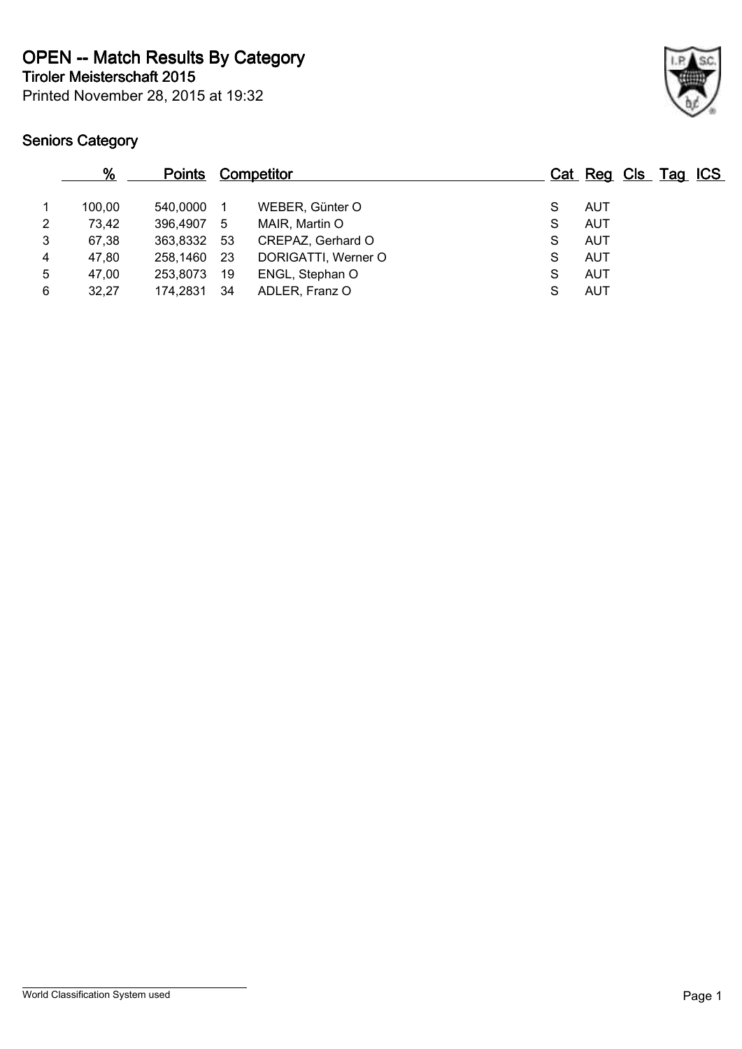Printed November 28, 2015 at 19:32 **Tiroler Meisterschaft 2015 OPEN -- Match Results By Category**



|   | %      | <b>Points</b> |      | <b>Competitor</b>   |   | Cat Reg Cls Tag ICS |  |  |
|---|--------|---------------|------|---------------------|---|---------------------|--|--|
|   | 100.00 | 540.0000      |      | WEBER, Günter O     | S | AUT                 |  |  |
| 2 | 73,42  | 396,4907      | 5    | MAIR, Martin O      | S | <b>AUT</b>          |  |  |
| 3 | 67,38  | 363,8332 53   |      | CREPAZ, Gerhard O   | S | <b>AUT</b>          |  |  |
| 4 | 47,80  | 258,1460      | - 23 | DORIGATTI, Werner O | S | <b>AUT</b>          |  |  |
| 5 | 47,00  | 253,8073      | 19   | ENGL, Stephan O     | S | <b>AUT</b>          |  |  |
| 6 | 32,27  | 174,2831      | -34  | ADLER, Franz O      | S | <b>AUT</b>          |  |  |
|   |        |               |      |                     |   |                     |  |  |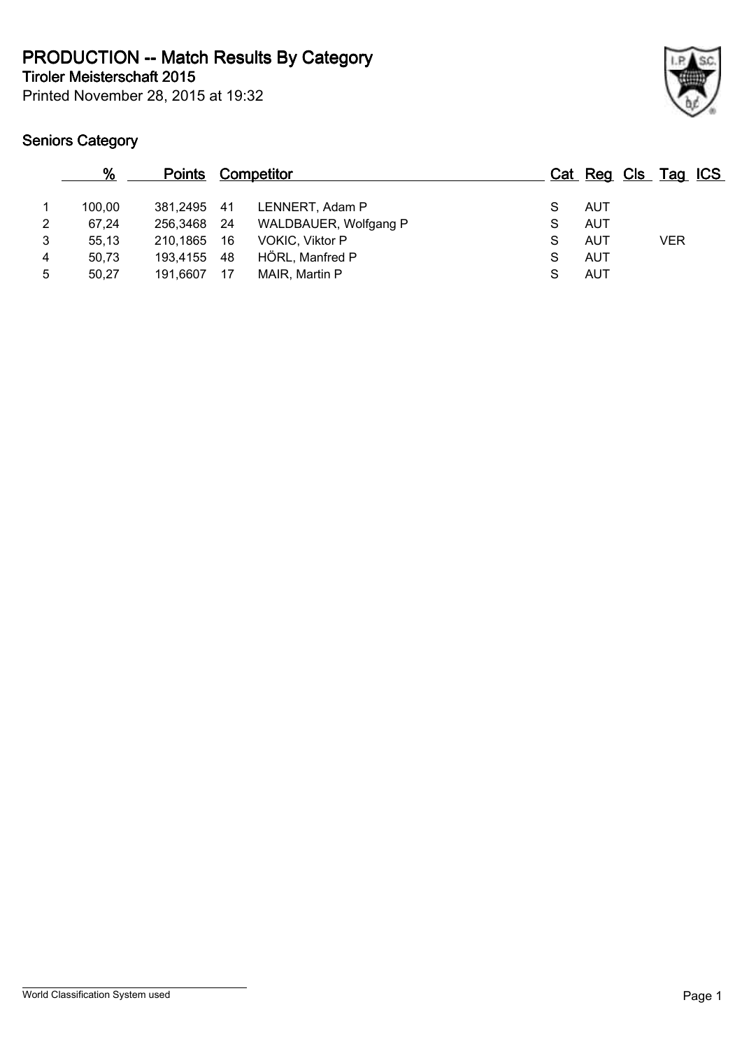**Tiroler Meisterschaft 2015 PRODUCTION -- Match Results By Category**

Printed November 28, 2015 at 19:32

|   | %      | <u>Points</u> |      | <b>Competitor</b>      |   |            | Cat Reg Cls Tag ICS |
|---|--------|---------------|------|------------------------|---|------------|---------------------|
|   | 100.00 | 381.2495 41   |      | LENNERT, Adam P        | S | AUT        |                     |
| 2 | 67,24  | 256,3468      | - 24 | WALDBAUER, Wolfgang P  | S | <b>AUT</b> |                     |
| 3 | 55,13  | 210,1865      | - 16 | <b>VOKIC, Viktor P</b> | S | AUT        | <b>VER</b>          |
| 4 | 50,73  | 193,4155      | -48  | HÖRL, Manfred P        | S | AUT        |                     |
| 5 | 50,27  | 191,6607      | 17   | MAIR, Martin P         |   | <b>AUT</b> |                     |
|   |        |               |      |                        |   |            |                     |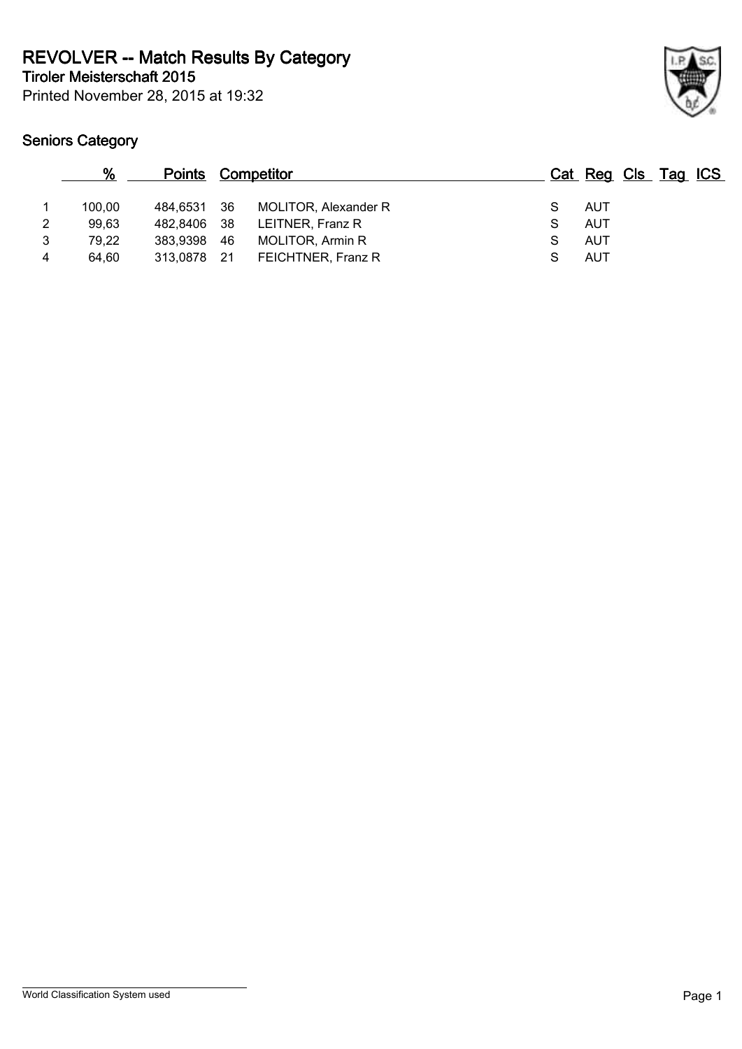**Tiroler Meisterschaft 2015 REVOLVER -- Match Results By Category**

Printed November 28, 2015 at 19:32

|   | %      | <b>Points Competitor</b> |      |                         |   | Cat Reg Cls Tag ICS |  |  |
|---|--------|--------------------------|------|-------------------------|---|---------------------|--|--|
|   | 100.00 | 484,6531 36              |      | MOLITOR, Alexander R    |   | AUT                 |  |  |
| 2 | 99.63  | 482,8406 38              |      | LEITNER, Franz R        | S | AUT                 |  |  |
| 3 | 79,22  | 383,9398                 | - 46 | <b>MOLITOR, Armin R</b> | S | AUT                 |  |  |
| 4 | 64.60  | 313,0878 21              |      | FEICHTNER, Franz R      |   | AUT                 |  |  |
|   |        |                          |      |                         |   |                     |  |  |